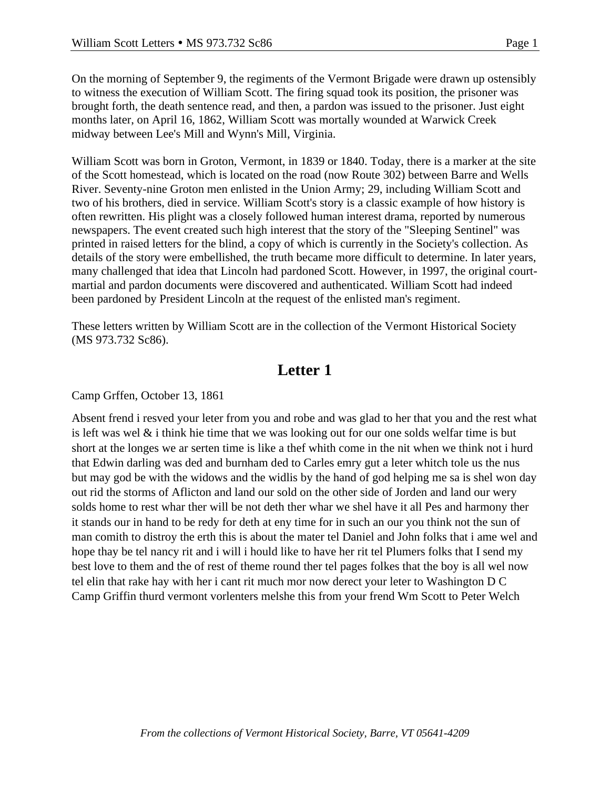On the morning of September 9, the regiments of the Vermont Brigade were drawn up ostensibly to witness the execution of William Scott. The firing squad took its position, the prisoner was brought forth, the death sentence read, and then, a pardon was issued to the prisoner. Just eight months later, on April 16, 1862, William Scott was mortally wounded at Warwick Creek midway between Lee's Mill and Wynn's Mill, Virginia.

William Scott was born in Groton, Vermont, in 1839 or 1840. Today, there is a marker at the site of the Scott homestead, which is located on the road (now Route 302) between Barre and Wells River. Seventy-nine Groton men enlisted in the Union Army; 29, including William Scott and two of his brothers, died in service. William Scott's story is a classic example of how history is often rewritten. His plight was a closely followed human interest drama, reported by numerous newspapers. The event created such high interest that the story of the "Sleeping Sentinel" was printed in raised letters for the blind, a copy of which is currently in the Society's collection. As details of the story were embellished, the truth became more difficult to determine. In later years, many challenged that idea that Lincoln had pardoned Scott. However, in 1997, the original courtmartial and pardon documents were discovered and authenticated. William Scott had indeed been pardoned by President Lincoln at the request of the enlisted man's regiment.

These letters written by William Scott are in the collection of the Vermont Historical Society (MS 973.732 Sc86).

## **Letter 1**

Camp Grffen, October 13, 1861

Absent frend i resved your leter from you and robe and was glad to her that you and the rest what is left was wel  $\&$  i think hie time that we was looking out for our one solds welfar time is but short at the longes we ar serten time is like a thef whith come in the nit when we think not i hurd that Edwin darling was ded and burnham ded to Carles emry gut a leter whitch tole us the nus but may god be with the widows and the widlis by the hand of god helping me sa is shel won day out rid the storms of Aflicton and land our sold on the other side of Jorden and land our wery solds home to rest whar ther will be not deth ther whar we shel have it all Pes and harmony ther it stands our in hand to be redy for deth at eny time for in such an our you think not the sun of man comith to distroy the erth this is about the mater tel Daniel and John folks that i ame wel and hope thay be tel nancy rit and i will i hould like to have her rit tel Plumers folks that I send my best love to them and the of rest of theme round ther tel pages folkes that the boy is all wel now tel elin that rake hay with her i cant rit much mor now derect your leter to Washington D C Camp Griffin thurd vermont vorlenters melshe this from your frend Wm Scott to Peter Welch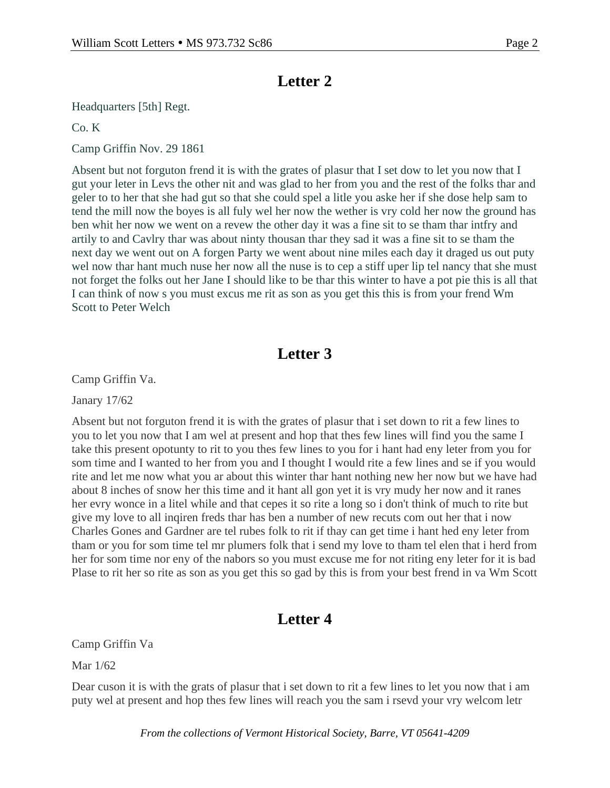## **Letter 2**

Headquarters [5th] Regt.

Co. K

Camp Griffin Nov. 29 1861

Absent but not forguton frend it is with the grates of plasur that I set dow to let you now that I gut your leter in Levs the other nit and was glad to her from you and the rest of the folks thar and geler to to her that she had gut so that she could spel a litle you aske her if she dose help sam to tend the mill now the boyes is all fuly wel her now the wether is vry cold her now the ground has ben whit her now we went on a revew the other day it was a fine sit to se tham thar intfry and artily to and Cavlry thar was about ninty thousan thar they sad it was a fine sit to se tham the next day we went out on A forgen Party we went about nine miles each day it draged us out puty wel now thar hant much nuse her now all the nuse is to cep a stiff uper lip tel nancy that she must not forget the folks out her Jane I should like to be thar this winter to have a pot pie this is all that I can think of now s you must excus me rit as son as you get this this is from your frend Wm Scott to Peter Welch

## **Letter 3**

Camp Griffin Va.

Janary 17/62

Absent but not forguton frend it is with the grates of plasur that i set down to rit a few lines to you to let you now that I am wel at present and hop that thes few lines will find you the same I take this present opotunty to rit to you thes few lines to you for i hant had eny leter from you for som time and I wanted to her from you and I thought I would rite a few lines and se if you would rite and let me now what you ar about this winter thar hant nothing new her now but we have had about 8 inches of snow her this time and it hant all gon yet it is vry mudy her now and it ranes her evry wonce in a litel while and that cepes it so rite a long so i don't think of much to rite but give my love to all inqiren freds thar has ben a number of new recuts com out her that i now Charles Gones and Gardner are tel rubes folk to rit if thay can get time i hant hed eny leter from tham or you for som time tel mr plumers folk that i send my love to tham tel elen that i herd from her for som time nor eny of the nabors so you must excuse me for not riting eny leter for it is bad Plase to rit her so rite as son as you get this so gad by this is from your best frend in va Wm Scott

## **Letter 4**

Camp Griffin Va

Mar 1/62

Dear cuson it is with the grats of plasur that i set down to rit a few lines to let you now that i am puty wel at present and hop thes few lines will reach you the sam i rsevd your vry welcom letr

*From the collections of Vermont Historical Society, Barre, VT 05641-4209*